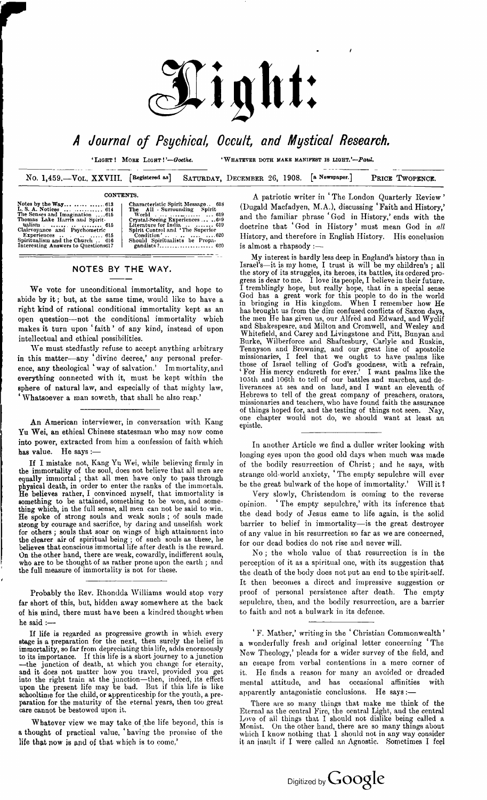

*<sup>A</sup> Journal of Psychical, Occult, and Mystical Research.*

'Light! More Light!*'—Goethe.* 'Whatever doth make manifest is light.'—*Paul.*

No. 1,459.—Vol. XXVIII. **[Registered os] SATURDAY, DECEMBER** 26, 1908. **[a Newspaper.] PRICE TWOPENCE.**

#### **CONTENTS.**

| Notes by the Way   613<br>L. S. A. Notices 614 |
|------------------------------------------------|
| The Senses and Imagination 615                 |
| Thomas Lake Harris and Spirit-                 |
| ualism   615                                   |
| Clairvoyance and Psychometric                  |
| Experiences 615                                |
| Spiritualism and the Church  616               |
| Interesting Answers to Questions617            |

**Characteristic Spirit Message.. 618 The All - [Surrounding](#page-6-0) Spirit World ................-.....................<sup>619</sup> Crystal-Seeing Experiences.........6'9 Literature for India ....................619 Spirit Control and 'The Superior Condition' .. .......................... 620 Should Spiritualists be Propa-gandists?................................... 620**

## NOTES BY THE WAY.

We vote for unconditional immortality, and hope to abide by it; but, at the same time, would like to have <sup>a</sup> right kind of rational conditional immortality kept as an open question—not the conditional immortality which makes it turn upon 'faith' of any kind, instead of upon intellectual and ethical possibilities.

We must stedfastly refuse to accept anything arbitrary in this matter—any 'divine decree,' any personal preference, any theological 'way of salvation.' Immortality,and everything connected with it, must be kept within the sphere of natural law, and especially of that mighty law, 'Whatsoever a man soweth, that shall he also reap.'

An American interviewer, in conversation with Kang Yu Wei, an ethical Chinese statesman who may now come into power, extracted from him a confession of faith which has value. He says :-

If I mistake not, Kang Yu Wei, while believing firmly in the immortality of the soul, does not believe that all men are equally immortal ; that all men have only to pass through physical death, in order to enter the ranks of the immortals. He believes rather, I convinced myself, that immortality is something to be attained, something to be won, and something which, in the full sense, all men can not be said to win. He spoke of strong souls and weak souls ; of souls made strong by courage and sacrifice, by daring and unselfish work for others ; souls that soar on wings of high attainment into the clearer air of spiritual being ; of such souls as these, he believes that conscious immortal life after death is the reward. On the other hand, there are weak, cowardly, indifferent souls, who are to be thought of as rather prone upon the earth ; and the full measure of immortality is not for these.

Probably the Rev. Rhondda Williams would stop very far short of this, but, hidden away somewhere at the back of his mind, there must have been a kindred thought when he said :—

If life is regarded as progressive growth in which every stage is a preparation for the next, then surely the belief in immortality, so far from depreciating thislife, adds enormously to its importance. If this life is a short journey to a junction —the junction of death, at which you change for eternity, and it does not matter how you travel, provided you get into the right train at the junction—then, indeed, its effect upon the present life may be bad. But if this life is like schooltime for the child, or apprenticeship for the youth, a preparation for the maturity of the eternal years, then too great care cannot be bestowed upon it.

Whatever view we may take of the life beyond, this is a thought of practical value, ' having the promise of the life that now is and of that which is to come,'

A patriotic writer in ' The London Quarterly Review ' (Dugald Macfadyen, M.A.), discussing ' Faith and History,' and the familiar phrase 'God in History,' ends with the doctrine that ' God in History ' must mean God in *all* History, and therefore in English History. His conclusion is almost a rhapsody :

My interest is hardly less deep in England's history than in Israel's—it is my home, I trust it will be my children's ; all the story of its struggles, its heroes, its battles, its ordered progress is dear to me. I love its people, I believe in their future. I tremblingly hope, but really hope, that in a special sense God has a great work for this people to do in the world in bringing in His kingdom. When I remember how He has brought us from the dim confused conflicts of Saxon days, the men He has given us, our Alfred and Edward, and Wyclif and Shakespeare, and Milton and Cromwell, and Wesley and Whitefield, and Carey and Livingstone and Pitt, Bunyan and Burke, Wilberforce and Shaftesbury, Carlyle and Ruskin, Tennyson and Browning, and our great line of apostolic missionaries, I feel that we ought to have psalms like those of Israel telling of God's goodness, with a refrain, <sup>1</sup> For His mercy endureth for ever.' I want psalms like the 105th and 106th to tell of our battles and marches, and deliverances at sea and on land, and I want an eleventh of Hebrews to tell of the great company of preachers, orators, missionaries and teachers, who have found faith the assurance of things hoped for, and the testing of things not seen. Nay, one chapter would not do, we should want at least an epistle.

In another Article we find a duller writer looking with longing eyes upon the good old days when much was made of the bodily resurrection of Christ; and he says, with strange old-world anxiety, ' The empty sepulchre will ever be the great bulwark of the hope of immortality.' Will it <sup>1</sup>

Very slowly, Christendom is coming to the reverse opinion. The empty sepulchre,' with its inference that the dead body of Jesus came to life again, is the solid barrier to belief in immortality—is the great destroyer of any value in his resurrection so far as we are concerned, for our dead bodies do not rise and never will.

No ; the whole value of that resurrection is in the perception of it as a spiritual one, with its suggestion that the death of the body does not put an end to the spirit-self. It then becomes a direct and impressive suggestion or proof of personal persistence after death. The empty sepulchre, then, and the bodily resurrection, are a barrier to faith and not a bulwark in its defence.

' F. Mather,' writing in the 'Christian Commonwealth' a wonderfully fresh and original letter concerning ' The New Theology,' pleads for a wider survey of the field, and an escape from verbal contentions in a mere corner of it. He finds a reason for many an avoided or dreaded mental attitude, and has occasional affinities with apparently antagonistic conclusions. He says:

There are so many things that make me think of the Eternal as the central Fire, the central Light, and the central Love of all things that I should not dislike being called a Monist. On the other hand, there are so many things about which I know nothing that I should not in any way consider it an insult if I were called an Agnostic. Sometimes I feel

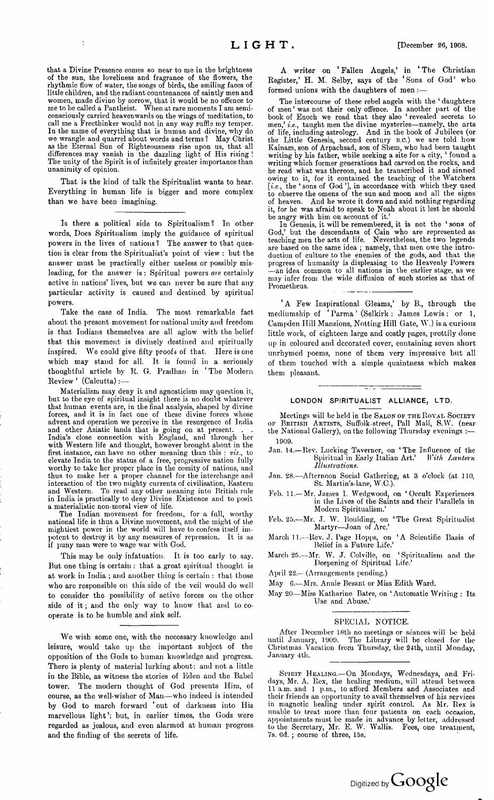that a Divine Presence comes so near to me in the brightness of the sun, the loveliness and fragrance of the flowers, the rhythmic flow of water, the songs of birds, the smiling faces of little children, and the radiant countenances of saintly men and women, made divine by sorrow, that it would be no offence to me to be called a Pantheist. When at rare moments I am semiconsciously carried heavenwards on the wings of meditation, to call me a Freethinker would not in any way ruffle my temper. In the name of everything that is human and divine, why do we wrangle and quarrel about words and terms *<sup>1</sup>* May Christ as the Eternal Sun of Righteousness rise upon us, that all differences may vanish in the dazzling light of His rising ! The unity of the Spirit is of infinitely greater importance than unanimity of opinion.

 $\ddot{\cdot}$ 

That is the kind of talk the Spiritualist wants to hear. Everything in human life is bigger and more complex than we have been imagining.

Is there a political side to Spiritualism *<sup>1</sup>* In other words, Does Spiritualism imply the guidance of spiritual powers in the lives of nations? The answer to that question is clear from the Spiritualist's point of view : but the answer must be practically either useless or possibly misleading, for the answer is : Spiritual powers *are* certainly active in nations' lives, but we can never be sure that any particular activity is caused and destined by spiritual powers.

Take the case of India. The most remarkable fact about the present movement for national unity and freedom is that Indians themselves are all aglow with the belief that this movement is divinely destined and spiritually inspired. We could give fifty proofs of that. Here is one which may stand for all. It is found in a seriously thoughtful article by R. G. Pradhan in 'The Modern Review ' (Calcutta):—

Materialism may deny it and agnosticism may question it, but to the eye of spiritual insight there is no doubt whatever that human events are, in the final analysis, shaped by divine forces, and it is in fact one of these divine forces whose advent and operation we perceive in the resurgence of India and other Asiatic lands that is going on at present. . . India's close connection with England, and through her with Western life and thought, however brought about in the first instance, can have no other meaning than this : *viz.,* to elevate India to the status of a free, progressive nation fully worthy to take her proper place in the comity of nations, and thus to make her a proper channel for the interchange and interaction of the two mighty currents of civilisation, Eastern and Western. To read any other meaning into British rule in India is practically to deny Divine Existence and to posit a materialistic non-moral view of life.

The Indian movement for freedom, for a full, worthy national life is thus a Divine movement, and the might of the mightiest power in the world will have to confess itself im-potent to destroy it by any measures of repression. It is as if puny man were to wage war with God.

This may be only infatuation. It is too early to say. But one thing is certain : that a great spiritual thought is at work in India ; and another thing is certain : that those who are responsible on this side of the veil would do well to consider the possibility of active forces on the other side of it; and the only way to know that and to cooperate is to be humble and sink self.

We wish some one, with the necessary knowledge and leisure, would take up the important subject of the opposition of the Gods to human knowledge and progress. There is plenty of material lurking about: and not a little iu the Bible, as witness the stories of Eden and the Babel tower. The modern thought of God presents Him, of course, as the well-wisher of Man—who indeed is intended by God to march forward 'out of darkness into His marvellous light': but, in earlier times, the Gods were regarded as jealous, and even alarmed at human progress and the finding of the secrets of life.

A writer on ' Fallen Angels,' in ' The Christian Register,' H. M. Selby, says of the 'Sons of God' who formed unions with the daughters of men:

The intercourse of these rebel angels with the ' daughters of men'was not their only offence. In another part of the book of Enoch we read that they also ' revealed secrets to men,' *i.e.,* taught men the divine mysteries—namely, the arts of life, including astrology. And in the book of Jubilees (or the Little Genesis, second century b.c.) we are told bow Kainam, son of Arpachsad, son of Shem, who had been taught writing by his father, while seeking a site for a city, ' found a writing which former generations had carved on the rocks, and he read what was thereon, and he transcribed it and sinned owing to it, for it contained the teaching of the Watchers *[i.e.,* the 'sons of God'], in accordance with which they used to observe the omens of the sun and moon and all the signs of heaven. And he wrote it down and said nothing regarding it, for he was afraid to speak to Noah about it lest he should be angry with him on account of it.'

In Genesis, it will be remembered, it is not the ' sons of God,' but the descendants of Cain who are represented as teaching men the arts of life. Nevertheless, the two legends are based on the same idea ; namely, that men owe the introduction of culture to the enemies of the gods, and that the progress of humanity is displeasing to the Heavenly Powers —an idea common to all nations in the earlier stage, as we may infer from the wide diffusion of such stories as that of Prometheus.

'A Few Inspirational Gleams,' by B., through the mediumship of 'Parma' (Selkirk: James Lewis: or 1, Campden Hill Mansions, Notting Hill Gate, W.) is a curious little work, of eighteen large and costly pages, prettily done up in coloured and decorated cover, containing seven short unrhymed poems, none of them very impressive but all of them touched with a simple quaintness which makes them pleasant.

#### LONDON SPIRITUALIST ALLIANCE, LTD.

Meetings will be held in the SALON OF THE ROYAL SOCIETY of British: Artists, Suffolk-street, Pall Mall, S.W. (near the National Gallery), on the following Thursday evenings :— 1909.

- Jan. 14.—Rev. Lucking Taverner, on 'The Influence of the Spiritual in Early Italian Art.' *With Lantern Illustrations.*
- Jan. 28.—Afternoon Social Gathering, at 3 o'clock (at 110, St. Martin's-lane, W.C.).
- Feb. 11.—Mr. James I. Wedgwood, on 'Occult Experiences in the Lives of the Saints and their Parallels in Modern Spiritualism.'
- Feb. 25.—Mr. J. W. Boulding, on 'The Great Spiritualist Martyr—Joan of Arc.'
- March 11.—Rev. J. Page Hopps, on 'A Scientific Basis of Belief in a Future Life.'
- March 25.--Mr. W. J. Colville, on 'Spiritualism and the Deepening of Spiritual Life.'
- April 22.— (Arrangements pending.)
- May 6.-—Mrs. Annie Besant or Miss Edith Ward.
- May 20—Miss Katharine Bates, on 'Automatic Writing : Its Use and Abuse.'

#### SPECIAL NOTICE.

After December 18th no meetings or séances will be held until January, 1909. The Library will be closed for the Christmas Vacation from Thursday, the 24th, until Monday, January 4th.

SPIRIT HEALING.-On Mondays, Wednesdays, and Fridays, Mr. A. Rex, the healing medium, will attend between 11 a.m. and <sup>1</sup> p.m., to afford Members and Associates and their friends an opportunity to avail themselves of his services in magnetic healing under spirit control. As Mr. Rex is unable to treat more than four patients on each occasion, appointments must be made in advance by letter, addressed to the Secretary, Mr. E. W. Wallis. Fees, one treatment 7s. 6d. ; course of three, 15s.

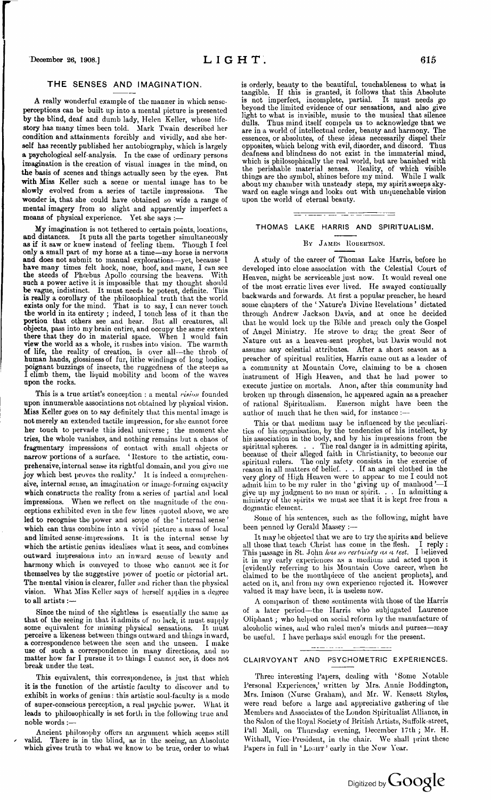# THE SENSES AND IMAGINATION.

**A** really wonderful example of the manner in which senseperceptions can be built up into a mental picture is presented **by** the blind, deaf and dumb lady, Helen Keller, whose life**story** has many times been told. Mark Twain described her condition and attainments forcibly and vividly, and she herself has recently published her autobiography, which is largely **a** psychological self-analysis. In the case of ordinary persons imagination is the creation of visual images in the mind, on **the** basis of scenes and things actually seen by the eyes. But with Miss Keller such a scene or mental image has to be **slowly** evolved from a series of tactile impressions. The wonder is, that she could have obtained so wide a range of **mental** imagery from so slight and apparently imperfect a means of physical experience. Yet she says :-

My imagination is not tethered to certain points, locations, **and distances.** It puts all the parts together simultaneously **as if** it saw or knew instead of feeling them. Though I feel **only a** small part of my horse at a time—my horse is nervous **and** does not submit to manual explorations—yet, because <sup>1</sup> **have** many times felt hock, nose, hoof, and mane, I can see **the steeds of** Phoebus Apollo coursing the heavens. With such a power active it is impossible that my thought should **be** vague, indistinct. It must needs be potent, definite. This **is really** a corollary of the philosophical truth that the world exists only for the mind. That is to say, I can never touch **the** world in its entirety ; indeed, I touch less of it than the **portion** that others see and hear. But all creatures, all objects, pass into my brain entire, and occupy the same extent there that they do in material space. When I would fain **view the** world as a whole, it rushes into vision. The warmth **of life,** the reality of creation, is over all—the throb of human hands, glossiness of fur, lithe windings of long bodies, poignant buzzings of insects, the ruggedness of the steeps as I climb them, the liquid mobility and boom of the waves **upon the rocks.**

This is a true artist's conception : a mental *vixion* founded upon innumerable associations not obtained by physical vision. Miss Keller goes on to say definitely that this mental image is not merely an extended tactile impression, for she cannot force her touch to pervade this ideal universe; the moment she tries, the whole vanishes, and nothing remains but a chaos of fragmentary impressions of contact with small objects or narrow portions of a surface. ' Restore to the artistic, comprehensive, internal sense its rightful domain, and you give me joy which best proves the reality.' It is indeed a comprehensive, internal sense, an imagination or image-forming capacity which constructs the reality from a series of partial and local impressions. When we reflect on the magnitude of the conceptions exhibited even in the few lines quoted above, we are led to recognise the power and scope of the ' internal sense ' which can thus combine into a vivid picture a mass of local and limited sense-impressions. It is the internal sense by which the artistic genius idealises what it sees, and combines outward impressions into an inward sense of beauty and harmony which is conveyed to those who cannot see it for themselves by the suggestive power of poetic or pictorial art. The mental vision is clearer, fuller and richer than the physical vision. What Miss Keller says of herself applies in a degree to all artists :—

Since the mind of the sightless is essentially the same as that of the seeing in that it admits of no lack, it must supply some equivalent for missing physical sensations. It must perceive a likeness between things outward and things inward, a correspondence between the seen and the unseen. I make use of such a correspondence in many directions, and no matter how far I pursue it to things I cannot see, it does not break under the test.

This equivalent, this correspondence, is just that which it is the function of the artistic faculty to discover and to exhibit in works of genius : this artistic soul-faculty is a mode of super-conscious perception, a real psychic power. What it leads to philosophically is set forth in the following true and noble words :—

Ancient philosophy offers an argument which seems still valid. There is in the blind, as in the seeing, an Absolute which gives truth to what we know to be true, order to what is orderly, beauty to the beautiful, touchableness to what is tangible. If this is granted, it follows that this Absolute is not imperfect, incomplete, partial. It must needs go beyond the limited evidence of our sensations, and also give light to what is invisible, music to the musical that silence dulls. Thus mind itself compels us to acknowledge that we are in a world of intellectual order, beauty and harmony. The essences, or absolutes, of these ideas necessarily dispel their opposites, which belong with evil, disorder, and discord. Thus deafness and blindness do not exist in the immaterial mind, which is philosophically the real world, but are banished with the perishable material senses. Reality, of which visible things are the symbol, shines before my mind. While I walk about my chamber with unsteady steps, my spiritsweeps skyward on eagle wings and looks out with unquenchable vision upon the world of eternal beauty.

# THOMAS LAKE HARRIS AND SPIRITUALISM.

tutte

<del>. . . . . . . .</del> .

#### By James Robektson.

A study of the career of Thomas Lake Harris, before he developed into close association with the Celestial Court of Heaven, might be serviceable just now. It would reveal one of the most erratic lives ever lived. He swayed continually backwards and forwards. At first a popular preacher, he heard some chapters of the ' Nature's Divine Revelations ' dictated through Andrew Jackson Davis, and at once he decided that he would lock up the Bible and preach only the Gospel of Angel Ministry. He strove to drag the great Seer of Nature out as a heaven-sent prophet, but Davis would not assume any celestial attributes. After a short season as a preacher of spiritual realities, Harris came out as a leader of a community at Mountain Cove, claiming to be a chosen instrument of High Heaven, and that he had power to execute justice on mortals. Anon, after this community had broken up through dissension, he appeared again as a preacher of rational Spiritualism. Emerson might have been the author of much that he then said, for instance :-

This or that medium may be influenced by the peculiarities of his organisation, by the tendencies of his intellect, by his association in the body, and by his impressions from the spiritual spheres. . . The real danger is in admitting spirits, because of their alleged faith in Christianity, to become our spiritual rulers. The only safety consists in the exercise of reason in all matters of belief. . . If an angel clothed in the very glory of High Heaven were to appear to me I could not admit him to be my ruler in the 'giving up of manhood'—I give up my judgment to no man or spirit. . . In admitting a ministry of the spirits we must see that it is kept free from a dogmatic element.

Some of his sentences, such as the following, might have been penned by Gerald Massey :—

It may be objected that we are to try the spirits and believe all those that teach Christ has come in the flesh. I reply : This passage in St. John */ms no certainty as a test.* I believed it in my early experiences as a medium and acted upon it [evidently referring to his Mountain Cove career, when he claimed to be the mouthpiece of the ancient prophets], and acted on it, and from my own experience rejected it. However valued it may have been, it is useless now.

A comparison of these sentiments with those of the Harris of a later period—the Harris who subjugated Laurence Oliphant; who helped on social reform by the manufacture of alcoholic wines, and who ruled men's minds and purses—may be useful. I have perhaps said enough for the present.

#### - - -- ---

## CLAIRVOYANT AND PSYCHOMETRIC EXPERIENCES.

Three interesting Papers, dealing with 'Some Notable Personal Experiences,' written by Mrs. Annie Boddington, Mrs. Imison (Nurse Graham), and Mr. W. Kensett Styles, were read before a large and appreciative gathering of the Members and Associates of the London Spiritualist Alliance, in the Salon of the Royal Society of British Artists, Suffolk-street, Pall Mall, on Thursday evening, December 17th ; Mr. H. Withall, Vice-President, in the chair. We shall print these Papers in full in 'LIGHT' early in the New Year.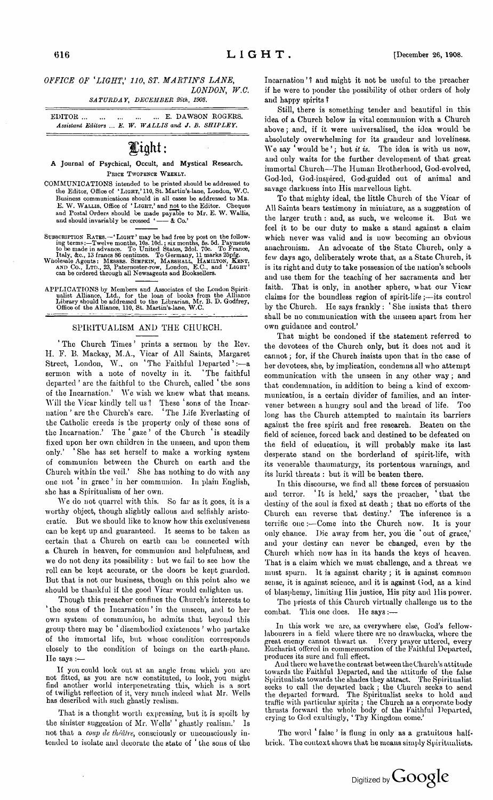## *OFFICE OF 'LIGHT,' 110, ST. MARTIN'S LANE, LONDON, W.C.*

*SATURDAY, DECEMBER 26th, 1908.*

EDITOR........................... E. DAWSON ROGERS. *Assistant Editors ... E. W. WALLIS and J. B. SHIPLEY.*

# Light:

*A* Journal of Psychical, Occult, and Mystical Research. PRICE TWOPENCE WEEKLY.

- COMMUNICATIONS intended to be printed should be addressed to the Editor, Office of 'LIGHT,'110, St. Martin's-lane, London, W.C. Business communications should in all cases be addressed to MR.<br>E. W. WALLIS, Office of 'LIGHT,' and <u>not</u> to the Editor. Cheques and Postal Orders should be made payable to Mr, E. W. Wallis, and should invariably be crossed '-  $\&$  Co.' and should invariably be crossed '-
- SUBSCRIPTION RATES.—"LIGHT' may be had free by post on the following terms:—Twelve months, 10s. 10d.; six months, 5s. 5d. Payments to be made in advance. To United States, 2dol. 70c. To France, Italy, &c., 13 frances 86 ce
- 
- APPLICATIONS by Members and Associates of the London Spiritualist Alliance, Ltd., for the loan of books from the Alliance Library should be addressed to the Librarian, Mr. B. D. Godfrey, Office of the Alliance, 110, St. Ma

## **SPIRITUALISM AND THE CHURCH.**

**<sup>1</sup> The Church Times ' prints a sermon by the Rev. II. F. B. Mackay, M.A., Vicar of All Saints, Margaret Street, London, W., on ' Tho Faithful Departed ' :—a sermon with a note of novelty in it. 'The faithful departed ' are the faithful to the Church, called the sons of the Incarnation.' We wish we knew what that means. Will the Vicar kindly tell us? These 'sons of the Incarnation '** are the Church's care. **the Catholic creeds is the property only of these sons of the Incarnation.' The ' gaze ' of the Church ' is steadily fixed upon her own children in the unseen, and upon them only.' ' She has set herself to make a working system of communion between the Church on earth and the Church within the veil.' She has nothing to do with any one not in grace ' in her communion. In plain English, she has a Spiritualism of her own.**

**We do not quarrel with this. So far as it goes, it is a worthy object, though slightly callous and selfishly aristocratic. But we should like to know how this exclusiveness can be kept up and guaranteed. It seems to bo taken as certain that a Church on earth can be connected with a Church in heaven, for communion and helpfulness, and wc do not deny its possibility : but we fail to see how the roll can be kept accurate, or the doors be kept guarded. But that is not our business, though on this point also we should be thankful if the good Vicar would enlighten us.**

**Though this preacher confines the Church's interests to ' the sons of the Incarnation ' in the unseen, and to her own system of communion, he admits that beyond this group there may be ' disembodied existences ' who partake of the immortal life, but whose condition corresponds closely to the condition of beings on the earth-plane. Ho says :—**

**If you could look out at an angle from which you are** not fitted, as you are now constituted, to look, you might<br>find another world interpenetrating this, which is a sort **of twilight reflection of it, very much indeed what Mr. Wells has described with such ghastly realism.**

**That is a thought worth expressing, but it is spoilt by the sinister suggestion of Mr. Wells' ' ghastly realism.' Is not that a** *coup de théâtre,* **consciously or unconsciously intended to isolate and decorate the state of the sons of tho**

**Incarnation '** *<sup>1</sup>* **and might it not be useful to the preacher if he were to ponder the possibility of other orders of holy and happy spirits** *<sup>1</sup>*

**Still, there is something tender and beautiful in this idea of a Church below in vital communion with a Church above; and, if it were universalised, the idea would be absolutely overwhelming for its grandeur and loveliness. We say ' would be '; but** *it is.* **The idea is with us now, and only waits for the further development of that great immortal Church—The Human Brotherhood, God-evolved, God-led, God-inspired, God-guided out of animal and savage darkness into His marvellous light.**

**To that mighty ideal, the little Church of the Vicar of All Saints bears testimony in miniature, as a suggestion of the larger truth : and, as such, we welcome it. But we feel it to be our duty to make a stand against a claim which never was valid and is now becoming an obvious anachronism. An advocate of the State Church, only a few days ago, deliberately wrote that, as a State Church, it is its right and duty to take possession of the nation's schools and use them for the teaching of her sacraments and her faith. That is only, in another sphere, what our Vicar claims for the boundless region of spirit-life;—its control by the Church. He says frankly : ' She insists that there shall be no communication with the unseen apart from her own guidance and control.'**

**That might be condoned if the statement referred to the devotees of the Church only, but it does not and it cannot; for, if the Church insists upon that in the case of her devotees, she, by implication, condemns all who attempt communication with the unseen in any other way; and that condemnation, in addition to being a kind of excommunication, is a certain divider of families, and an intervener between a hungry soul and the bread of life. Too long has the Church attempted to maintain its barriers against the free spirit and free research. Beaten on the field of science, forced back and destined to be defeated on the field of education, it will probably make its last desperate stand on the borderland of spirit-life, with its venerable thaumaturgy, its portentous warnings, and its lurid threats : but it will be beaten there.**

**In this discourse, we find all these forces of persuasion and terror. It is held,' says the preacher, ' that the destiny of the soul is fixed at death ; that no efforts of the Church can reverse that destiny.' The inference is a terrific one :—Come into the Church now. It is your only chance. Die away from her, you die 'out of grace,' and your destiny can never be changed, even by the Church which now has in its hands the keys of heaven. That is a claim which we must challenge, and a threat we must spurn. It is against charity ; it is against common sense, it is against science, and it is against God, as a kind of blasphemy, limiting His justice, His pity and His power.**

**The priests of this Church virtually challenge us to the combat. This one does. Ho says :—**

**In this work we are, as everywhere else, God's fellowlabourers in a field where there are no drawbacks, where the great enemy cannot thwart us. Every prayer uttered, every Eucharist offered in commemoration of the Faithful Departed, produces its sure and full effect.**

**And there we have the contrast between the Church's attitude towards the Faithful Departed, and the attitude of the false Spiritualists towards the shades they attract. The Spiritualist seeks to call the departed back ; the Church seeks to send the departed forward. The Spiritualist seeks to hold and traffic with particular spirits ; the Church as a corporate body** thrusts forward the whole body of the Faithful Departed.<br>crying to God exultingly, 'Thy Kingdom come.'

**The word ' false ' is flung in only as a gratuitous halfbrick. The context shows that he means simply Spiritualists.**

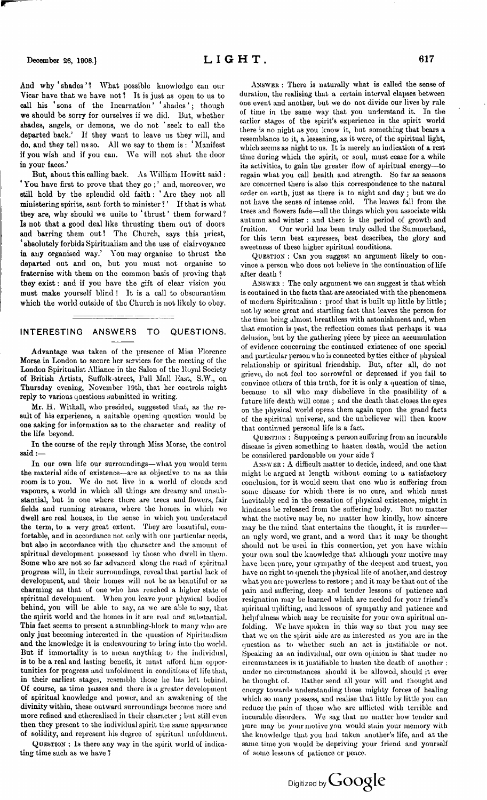**And why ' shades ' ? What possible knowledge can our Vicar have that we have not? It is just as open to us to call his ' sons of the Incarnation ' ' shades '; though we should be sorry for ourselves if we did. But, whether shades, angels, or demons, we do not ' seek to call the departed back.' If they want to leave us they will, and do, and they tell us so. All we say to them is : ' Manifest if you wish and if you can. We will not shut the door in your faces.'**

**But, about this calling back. As William Howitt said : ' You have first to prove that they go ; ' and, moreover, we still hold by the splendid old faith : ' Are they not all ministering spirits, sent forth to minister** *1' If* **that is what they are, why should we unite to ' thrust ' them forward** *<sup>1</sup>* **Is not that a good deal like thrusting them out of doors and barring them out? The Church, says this priest, ' absolutely forbids Spiritualism and the use of clairvoyance in any organised way.' You may organise to thrust the departed out and on, but you must not organise to fraternise with them on the common basis of proving that they exist: and if you have the gift of clear vision you must make yourself blind ! It is a call to obscurantism which the world outside of the Church is not likely to obey.**

## INTERESTING ANSWERS TO QUESTIONS.

Advantage was taken of the presence of Miss Florence Morse in London to secure her services for the meeting of the London Spiritualist Alliance in the Salon of the Royal Society of British Artists, Suffolk-street, Pall Mall East, S.W., on Thursday evening, November 19th, that her controls might reply to various questions submitted in writing.

**Mr. H.** Withall, who presided, suggested that, as the result of his experience, a suitable opening question would be one asking for information as to the character and reality of **the life beyond.**

**In** the course of the reply through Miss Morse, the control **said:—**

In our own life our surroundings—what you would term the material side of existence—are as objective to us as this room is to you. We do not live in a world of clouds and vapours, a world in which all things are dreamy and unsubstantial, but in one where there are trees and flowers, fair fields and running streams, where the homes in which we dwell are real houses, in the sense in which you understand the term, to a very great extent. They are beautiful, comfortable, and in accordance not only with our particular needs, but also in accordance with the character and the amount of spiritual development possessed by those who dwell in them. Some who are not so far advanced along the road of spiritual progress will, in their surroundings, reveal that partial lack of development, and their homes will not be as beautiful or as charming as that of one who has reached a higher state of spiritual development. When you leave your physical bodies behind, you will be able to say, as we are able to say, that the spirit world and the homes in it are real and substantial. This fact seems to present a stumbling-block to many who are only just becoming interested in the question of Spiritualism and the knowledge it is endeavouring to bring into the world. But if immortality is to mean anything to the individual, is to be a real and lasting benefit, it must afford him opportunities for progress and unfoldinent in conditions of life that, in their earliest stages, resemble those he has left behind. Of course, as time passes and there is a greater development of spiritual knowledge and power, and an awakening of the divinity within, these outward surroundings become more and more refined and etherealised in their character ; but still even then they present to the individual spirit the same appearance of solidity, and represent his degree of spiritual unfoldinent.

Question : Is there any way in the spirit world of indicating time such as we have ?

Answer : There is naturally what is called the sense of duration, the realising that a certain interval elapses between one event and another, but we do not divide our lives by rule of time in the same way that you understand it. In the earlier stages of the spirit's experience in the spirit world there is no night as you know it, but something that bears a resemblance to it, a lessening, as it were, of the spiritual light, which seems as night to us. It is merely an indication of a rest time during which the spirit, or soul, must cease for a while its activities, to gain the greater How of spiritual energy—to regain what you call health and strength. So far as seasons are concerned there is also this correspondence to the natural order on earth, just as there is to night and day ; but we do not have the sense of intense cold. The leaves fall from the trees and flowers fade—all the things which you associate with autumn and winter : and there is the period of growth and fruition. Our world has been truly called the Summerland, for this term best expresses, best describes, the glory and sweetness of these higher spiritual conditions.

Question : Can you suggest an argument likely to convince a person who does not believe in the continuation of life after death ?

Answer : The only argument we can suggest is that which is contained in the facts that are associated with the phenomena of modern Spiritualism : proof that is built up little by little; not by some great and startling fact that leaves the person for the time being almost breathless with astonishment and, when that emotion is past, the reflection comes that perhaps it was delusion, but by the gathering piece by piece an accumulation of evidence concerning the continued existence of one special and particular person who is connected by ties either of physical relationship or spiritual friendship. But, after all, do not grieve, do not feel too sorrowful or depressed if you fail to convince others of this truth, for it is only a question of time, because to all who may disbelieve in the possibility of a future life death will come ; and the death that closes the eyes on the physical world opens them again upon the grand facts of the spiritual universe, and the unbeliever will then know that continued personal life is a fact.

Question : Supposing a person suffering from an incurable disease is given something to hasten death, would the action be considered pardonable on your side ?

Answer : A difficult matter to decide, indeed, and one that might be argued at length without coming to a satisfactory conclusion, for it would seem that one who is suffering from some disease for which there is no cure, and which must inevitably end in the cessation of physical existence, might in kindness be released from the suffering body. But no matter what the motive may be, no matter how kindly, how sincere may be the mind that entertains the thought, it is murder an ugly word, we grant, and a word that it may be thought should not be used in this connection, yet you have within your own soul the knowledge that although your motive may have been pure, your sympathy of the deepest and truest, you have no right to quench the physical life of another, and destroy what you are powerless to restore ; and it may be that out of the pain and suffering, deep and tender lessons of patience and resignation may be learned which are needed for your friend's spiritual uplifting, and lessons of sympathy and patience and helpfulness which may be requisite for your own spiritual unfolding. We have spoken in this way so that you may see that we on the spirit side are as interested as you are in the question as to whether such an act is justifiable or not. Speaking as an individual, our own opinion is that under no circumstances is it justifiable to hasten the death of another : under no circumstances should it be allowed, should it ever be thought of. Bather send all your will and thought and energy towards understanding those mighty forces of healing which so many possess, and realise that little by little you can reduce the pain of those who are afflicted with terrible and incurable disorders. Wc say that no matter how tender and pure may be your motive you would stain your memory with the knowledge that you had taken another's life, and at the same time you would be depriving your friend and yourself of some lessons of patience or peace.

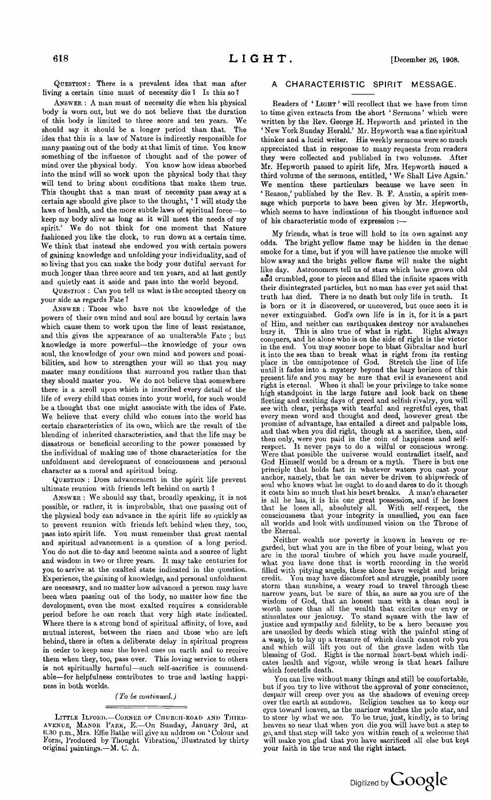Question: There is a prevalent idea that man after living a certain time must of necessity die <sup>1</sup> Is this so *<sup>1</sup>*

Answer : A man must of necessity die when his physical body is worn out, but we do not believe that the duration of this body is limited to three score and ten years. We should say it should be a longer period than that. The idea that this is a law of Nature is indirectly responsible for many passing out of the body at that limit of time. You know something of the influence of thought and of the power of mind over the physical body. You know how ideas absorbed into the mind will so work upon the physical body that they will tend to bring about conditions that make them true. This thought that a man must of necessity pass away at a certain age should give place to the thought, ' I will study the laws of health, and the more subtle laws of spiritual force—to keep my body alive as long as it will meet the needs of my spirit.' We do not think for one moment that Nature fashioned you like the clock, to run down at a certain time. We think that instead she endowed you with certain powers of gaining knowledge and unfolding your individuality, and of so living that you can make the body your dutiful servant for much longer than three score and ten years, and at last gently and quietly cast it aside and pass into the world beyond.

Question : Can you tell us what is the accepted theory on your side as regards Fate *<sup>1</sup>*

Answer : Those who have not the knowledge of the powers of their own mind and soul are bound by certain laws which cause them to work upon the line of least resistance, and this gives the appearance of an unalterable Fate ; but knowledge is more powerful—the knowledge of your own soul, the knowledge of your own mind and powers and possibilities, and how to strengthen your will so that you may master many conditions that surround you rather than that they should master you. We do not believe that somewhere there is a scroll upon which is inscribed every detail of the life of every child that comes into your world, for such would be a thought that one might associate with the idea of Fate. We believe that every child who comes into the world has certain characteristics of its own, which are the result of the blending of inherited characteristics, and that the life may be disastrous or beneficial according to the power possessed by the individual of making use of those characteristics for the unfoldment and development of consciousness and personal character as a moral and spiritual being.

Question : Does advancement in the spirit life prevent ultimate reunion with friends left behind on earth *<sup>1</sup>*

Answer : We should say that, broadly speaking, it is not possible, or rather, it is improbable, that one passing out of the physical body can advance in the spirit life so quickly as to prevent reunion with friends left behind when they, too, pass into spirit life. You must remember that great mental and spiritual advancement is a question of a long period. You do not die to-day and become saints and a source of light and wisdom in two or three years. It may take centuries for you to arrive at the exalted state indicated in the question. Experience, the gaining of knowledge, and personal unfoldment are necessary, and no matter how advanced a person may have been when passing out of the body, no matter how fine the development, even the most exalted requires a considerable period before he can reach that very high state indicated. Where there is a strong bond of spiritual affinity, of love, and mutual interest, between the risen and those who are left behind, there is often a deliberate delay in spiritual progress in order to keep near the loved ones on earth and to receive them when they, too, pass over. This loving service to others is not spiritually harmful—such self-sacrifice is commendable—for helpfulness contributes to true and lasting happiness in both worlds.

## *(To be continued.)*

LITTLE ILFORD.—CORNER OF CHURCH-ROAD AND THIRD-<br>AVENUE, MANOR PARK, E.—On Sunday, January 3rd, at avenue, Manor Park, E.—On Sunday, January 3rd, at 6.30 p.m,, Mrs. Effie Lathe will give an address on <sup>1</sup> Colour and Form, Produced by Thought Vibration,' illustrated by thirty original paintings.—M. C. A.

## A CHARACTERISTIC SPIRIT MESSAGE.

Readers of 'LIGHT' will recollect that we have from time to time given extracts from the short ' Sermons ' which were written by the Rev. George H. Hepworth and printed in the ' New York Sunday Herald.' Mr. Hepworth was a fine spiritual thinker and a lucid writer. His weekly sermons were somuch appreciated that in response to many requests from readers they were collected and published in two volumes. After Mr. Hepworth passed to spirit life, Mrs. Hepworth issued a third volume of the sermons, entitled, ' We Shall Live Again.' We mention these particulars because we have seen in ' Reason,' published by the Rev. B. F. Austin, a spirit message which purports to have been given by Mr. Hepworth, which seems to have indications of his thought influence and of his characteristic mode of expression :—

My friends, what is true will hold to its own against any odds. The bright yellow flame may be hidden in the dense smoke for a time, but if you will have patience the smoke will blow away and the bright yellow flame will make the night like day. Astronomers tell us of stars which have grown old and crumbled, gone to pieces and filled the infinite spaces with their disintegrated particles, but no man has ever yet said that truth has died. There is no death but only life in truth. It is born or it is discovered, or uncovered, but once seen it is never extinguished. God's own life is in it, for it is a part of Him, and neither can earthquakes destroy nor avalanches bury it. This is also true of what is right. Right always conquers, and he alone who is on the side of right is the victor in the end. You may sooner hope to blast Gibraltar and hurl it into the sea than to break what is right from its resting place in the omnipotence of God. Stretch the line of life until it fades into a mystery beyond the hazy horizon of this present life and you may be sure that evil is evanescent and right is eternal. When it shall be your privilege to take some high standpoint in the large future and look back on these fleeting and exciting days of greed and selfish rivalry, you will see with clear, perhaps with tearful and regretful eyes, that every mean word and thought and deed, however great the promise of advantage, has entailed a direct and palpable loss, and that when you did right, though at a sacrifice, then, and then only, were you paid in the coin of happiness and self-respect. It never pays to do a wilful or conscious wrong. Were that possible the universe would contradict itself, and God Himself would be a dream or a myth. There is but one principle that holds fast in whatever waters you cast your anchor, namely, that he can never be driven to shipwreck of soul who knows what he ought to do and dares to do it though it costs him so much that his heart breaks. A man's character is all he has, it is his one great possession, and if he loses that he loses all, absolutely all. With self-respect, the consciousness that your integrity is unsullied, you can face all worlds and look with undimmed vision on the Throne of the Eternal.

Neither wealth nor poverty is known in heaven or regarded, but what you are in the fibre of your being, what you are in the moral timbre of which you have made yourself, what you have done that is worth recording in the world filled with pitying angels, these alone have weight and bring credit. You may have discomfort and struggle, possibly more storm than sunshine, a weary road to travel through these narrow years, but be sure of this, as sure as you are of the wisdom of God, that an honest man with a clean soul is worth more than all the wealth that excites our envy or stimulates our jealousy. To stand square with the law of justice and sympathy and fidelity, to be a hero because you are unsoiled by deeds which sting with the painful sting of a wasp, is to lay up a treasure of which death cannot rob you and which will lift you out of the grave laden with the blessing of God. Right is the normal heart-beat which indicates health and vigour, while wrong is that heart failure which foretells death.

You can live without many things and still be comfortable, but if you try to live without the approval of your conscience, despair will creep over you as the shadows of evening creep over the earth at sundown. Religion teaches us to keep our eyes toward heaven, as the mariner watches the pole star, and to steer by what we see. To be true, just, kindly, is to bring heaven so near that when you die you will have but a step to go, and that step will take you within reach of a welcome that will make you glad that you have sacrificed all else but kept your faith in the true and the right intact.

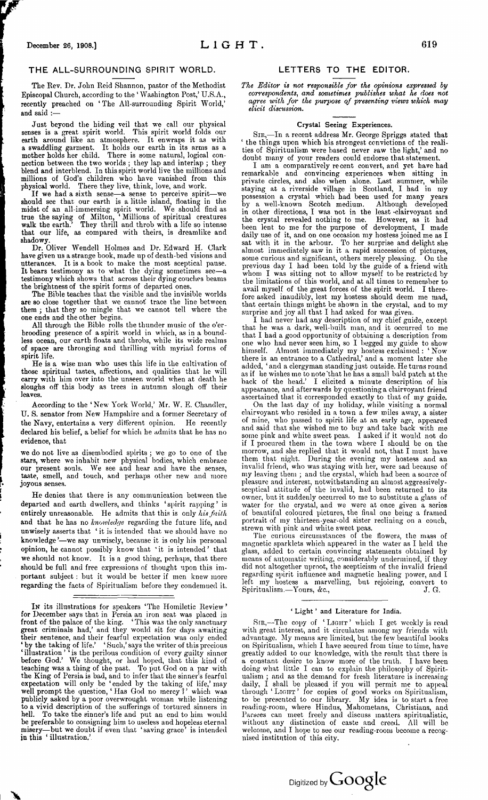#### <span id="page-6-0"></span>THE ALL-SURROUNDING SPIRIT WORLD.

The Rev. Dr. John Reid Shannon, pastor of the Methodist Episcopal Church, according to the \* Washington Post,' U.S.A., recently preached on ' The All-surrounding Spirit World,' and said :—

Just beyond the hiding veil that we call our physical senses is a great spirit world. This spirit world folds our earth around like an atmosphere. It enwraps it as with <sup>a</sup> swaddling garment. It holds our earth in its arms as a mother holds her child. There is some natural, logical connection between the two worlds ; they lap and interlap ; they blend and interblend. In this spirit world live the millions and millions of God's children who have vanished from this physical world. There they live, think, love, and work.

If we had a sixth sense—a sense to perceive spirit—we should see that our earth is a little island, floating in the midst of an all-immersing spirit world. We should find as true the saying of Milton, ' Millions of spiritual creatures walk the earth.' They thrill and throb with a life so intense that our life, as compared with theirs, is dreamlike and shadowy.

Dr. Oliver Wendell Holmes and Dr. Edward H. Clark have given us a strange book, made up of death-bed visions and utterances. It is a book to make the most sceptical pause. It bears testimony as to what the dying sometimes see-a testimony which shows that across their dying couches beams the brightness of the spirit forms of departed ones.

The Bible teaches that the visible and the invisible worlds are so close together that we cannot' trace the line between them ; that they so mingle that we cannot tell where the one ends and the other begins.

All through the Bible rolls the thunder music of the o'erbrooding presence of a spirit world in which, as in a boundless ocean, our earth floats and throbs, while its wide realms of space are thronging and thrilling with myriad forms of spirit life.

He is a wise man who uses this life in the cultivation of those spiritual tastes, affections, and qualities that he will carry with him over into the unseen world when at death he sloughs off this body as trees in autumn slough off their leaves.

According to the 'New York World,' Mr. W. E. Chandler, U. S. senator from New Hampshire and a former Secretary of the Navy, entertains a very different opinion. He recently declared his belief, a belief for which he admits that he has no evidence, that

we do not live as disembodied spirits ; we go to one of the stars, where we inhabit new physical bodies, which embrace our present souls. We see and hear and have the senses, taste, smell, and touch, and perhaps other new and more joyous senses.

He denies that there is any communication between the departed and earth dwellers, and thinks 'spirit rapping' is entirely unreasonable. He admits that this is only *hisfaith* and that he has no *knowledge* regarding the future life, and unwisely asserts that ' it is intended that we should have no knowledge '—we say unwisely, because it is only his personal opinion, he cannot possibly know that 'it is intended' that we should not know. It is a good thing, perhaps, that there should be full and free expressions of thought upon this important subject : but it would be better if men knew more regarding the facts of Spiritualism before they condemned it.

**I<sup>n</sup>** its illustrations for speakers 'The Homiletic Review' for December says that in Persia an iron seat was placed in front of the palace of the king. ' This was the only sanctuary great criminals had,' and they would sit for days awaiting their sentence, and their fearful expectation was only ended \* by the taking of life.' ' Such,' says the writer of this precious 'illustration' 'is the perilous condition of every guilty sinner before God.' We thought, or had hoped, that this kind of teaching was a thing of the past. To put God on a par with the King of Persia is bad, and to infer that the sinner's fearful expectation will only be ' ended by the taking of life,' may well prompt the question, ' Has God no mercy *<sup>1</sup> '* which was publicly asked by a poor overwrought woman while listening to a vivid description of the sufferings of tortured sinners in hell. To take the sinner's life and put an end to him would be preferable to consigning him to useless and hopeless eternal misery—but we doubt if even that 'saving grace' is intended in this ' illustration,'

x

## LETTERS TO THE EDITOR.

*The Editor is not responsible for the opinions expressed by correspondents, and sometimes publishes what he does not agree with for the purpose of presenting views which may elicit discussion.*

#### Crystal Seeing Experiences.

Sir,—In a recent address Mr. George Spriggs stated that ' the things upon which his strongest convictions of the realities of Spiritualism were based never saw the light,' and no doubt many of your readers could endorse that statement.

I am a comparatively recent convert, and yet have had remarkable and convincing experiences when sitting in private circles, and also when alone. Last summer, while staying at a riverside village in Scotland, I had in my possession a crystal which had been used for many years by a well-known Scotch medium. in other directions, I was not in the least clairvoyant and the crystal revealed nothing to me. However, as it had the crystal revealed nothing to me. However, as it had been lent to me for the purpose of development, I made daily use of it, and on one occasion my hostess joined me as I sat with it in the arbour. To her surprise and delight she almost immediately saw in it a rapid succession of pictures, some curious and significant, others merely pleasing. On the some curious and significant, others merely pleasing. previous day I had been told by the guide of a friend with whom I was sitting not to allow myself to be restricted by the limitations of this world, and at all times to remember to avail myself of the great forces of the spirit world. I therefore asked inaudibly, lest my hostess should deem me mad, that certain things might be shown in the crystal, and to my surprise and joy all that I had asked for was given.

I had never had any description of my chief guide, except that he was a dark, well-built man, and it occurred to me that I had a good opportunity of obtaining a description from one who had never seen him, so I begged my guide to show himself. Almost immediately my hostess exclaimed : ' Now there is an entrance to a Cathedral,' and a moment later she added, ' and a clergyman standing just outside. He turns round as if he wishes me to note 'that he has a small bald patch at the back of the head.' I elicited a minute description of his appearance, and afterwards by questioning a clairvoyant friend ascertained that it corresponded exactly to that of my guide.

On the last day of my holiday, while visiting a normal clairvoyant who resided in a town a few miles away, a sister of mine, who passed to spirit life at an early age, appeared and said that she wished me to buy and take back with me some pink and white sweet peas. I asked if it would not do if I procured them in the town where I should be on the morrow, and she replied that it would not, that I must have them that night. During the evening my hostess and an invalid friend, who was staying with her, were sad because of my leaving them ; and the crystal, which had been a source of pleasure and interest, notwithstanding an almost aggressivelysceptical attitude of the invalid, had been returned to its owner, but it suddenly occurred to me to substitute a glass of water for the crystal, and we were at once given a series of beautiful coloured pictures, the final one being a framed portrait of my thirteen-year-old sister reclining on a conch, strewn with pink and white sweet peas.

The curious circumstances of the flowers, the mass of magnetic sparklets which appeared in the water as I held the glass, added to certain convincing statements obtained by means of automatic writing, considerably undermined, if they did not altogether uproot, the scepticism of the invalid friend regarding spirit influence and magnetic healing power, and I left my hostess a marvelling, but rejoicing, convert to  $S$ piritualism.—Yours, &c.,  $J. G$ 

#### ' Light ' and Literature for India.

SIR,-The copy of 'LIGHT' which I get weekly is read with great interest, and it circulates among my friends with advantage. My means are limited, but the few beautiful books on Spiritualism, which I have secured from time to time, have greatly added to our knowledge, with the result that there is constant desire to know more of the truth. doing what little I can to explain the philosophy of Spiritualism ; and as the demand for fresh literature is increasing daily, I shall be pleased if you will permit me to appeal through 'LIGHT' for copies of good works on Spiritualism, to be presented to our library. My idea is to start a free reading-room, where Hindus, Mahometans, Christians, and Parsees can meet freely and discuss matters spiritualistic, without any distinction of caste and creed. All will be welcome, and I hope to see our reading-room become a recognised institution of this city.